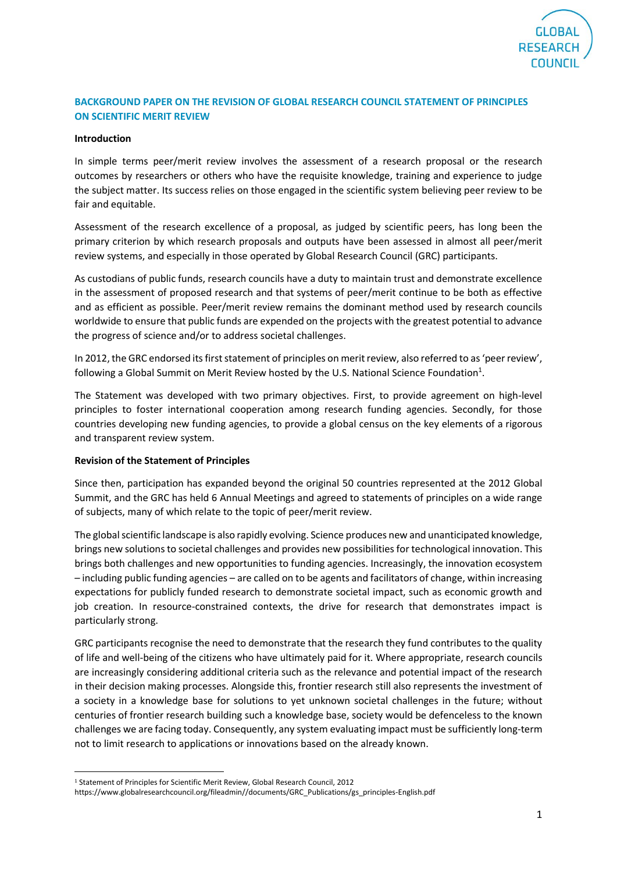

## **BACKGROUND PAPER ON THE REVISION OF GLOBAL RESEARCH COUNCIL STATEMENT OF PRINCIPLES ON SCIENTIFIC MERIT REVIEW**

## **Introduction**

In simple terms peer/merit review involves the assessment of a research proposal or the research outcomes by researchers or others who have the requisite knowledge, training and experience to judge the subject matter. Its success relies on those engaged in the scientific system believing peer review to be fair and equitable.

Assessment of the research excellence of a proposal, as judged by scientific peers, has long been the primary criterion by which research proposals and outputs have been assessed in almost all peer/merit review systems, and especially in those operated by Global Research Council (GRC) participants.

As custodians of public funds, research councils have a duty to maintain trust and demonstrate excellence in the assessment of proposed research and that systems of peer/merit continue to be both as effective and as efficient as possible. Peer/merit review remains the dominant method used by research councils worldwide to ensure that public funds are expended on the projects with the greatest potential to advance the progress of science and/or to address societal challenges.

In 2012, the GRC endorsed its first statement of principles on merit review, also referred to as 'peer review', following a Global Summit on Merit Review hosted by the U.S. National Science Foundation<sup>1</sup>.

The Statement was developed with two primary objectives. First, to provide agreement on high-level principles to foster international cooperation among research funding agencies. Secondly, for those countries developing new funding agencies, to provide a global census on the key elements of a rigorous and transparent review system.

## **Revision of the Statement of Principles**

Since then, participation has expanded beyond the original 50 countries represented at the 2012 Global Summit, and the GRC has held 6 Annual Meetings and agreed to statements of principles on a wide range of subjects, many of which relate to the topic of peer/merit review.

The global scientific landscape is also rapidly evolving. Science produces new and unanticipated knowledge, brings new solutions to societal challenges and provides new possibilities for technological innovation. This brings both challenges and new opportunities to funding agencies. Increasingly, the innovation ecosystem – including public funding agencies – are called on to be agents and facilitators of change, within increasing expectations for publicly funded research to demonstrate societal impact, such as economic growth and job creation. In resource-constrained contexts, the drive for research that demonstrates impact is particularly strong.

GRC participants recognise the need to demonstrate that the research they fund contributes to the quality of life and well-being of the citizens who have ultimately paid for it. Where appropriate, research councils are increasingly considering additional criteria such as the relevance and potential impact of the research in their decision making processes. Alongside this, frontier research still also represents the investment of a society in a knowledge base for solutions to yet unknown societal challenges in the future; without centuries of frontier research building such a knowledge base, society would be defenceless to the known challenges we are facing today. Consequently, any system evaluating impact must be sufficiently long-term not to limit research to applications or innovations based on the already known.

1

<sup>1</sup> Statement of Principles for Scientific Merit Review, Global Research Council, 2012

https://www.globalresearchcouncil.org/fileadmin//documents/GRC\_Publications/gs\_principles-English.pdf